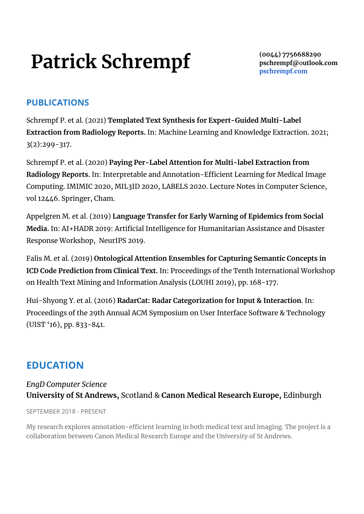# **Patrick Schrempf**

**(0044) 7756688290 [pschrempf@](mailto:pschrempf@acm.org)**o**utlook.com [pschrempf.com](https://pschrempf.com)**

# **PUBLICATIONS**

Schrempf P. et al. (2021) **Templated Text Synthesis for Expert-Guided Multi-Label Extraction from Radiology Reports.** In: Machine Learning and Knowledge Extraction. 2021; 3(2):299-317.

Schrempf P. et al. (2020) **Paying Per-Label Attention for Multi-label Extraction from Radiology Reports.** In: Interpretable and Annotation-Efficient Learning for Medical Image Computing. IMIMIC 2020, MIL3ID 2020, LABELS 2020. Lecture Notes in Computer Science, vol 12446. Springer, Cham.

Appelgren M. et al. (2019) **Language Transfer for Early Warning of Epidemics from Social Media.** In: AI+HADR 2019: Artificial Intelligence for Humanitarian Assistance and Disaster Response Workshop, NeurIPS 2019.

Falis M. et al. (2019) **Ontological Attention Ensembles for Capturing Semantic Concepts in ICD Code Prediction from Clinical Text.** In: Proceedings of the Tenth International Workshop on Health Text Mining and Information Analysis (LOUHI 2019), pp. 168-177.

Hui-Shyong Y. et al. (2016) **RadarCat: Radar Categorization for Input & Interaction**. In: Proceedings of the 29th Annual ACM Symposium on User Interface Software & Technology (UIST '16), pp. 833-841.

# **EDUCATION**

# *EngD Computer Science* **University of St Andrews,** Scotland & **Canon Medical Research Europe,** Edinburgh

SEPTEMBER 2018 - PRESENT

My research explores annotation-efficient learning in both medical text and imaging. The project is a collaboration between Canon Medical Research Europe and the University of St Andrews.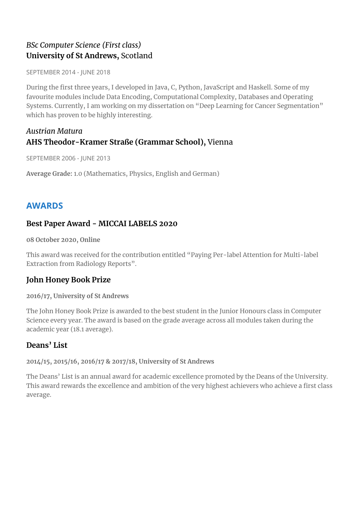# *BSc Computer Science (First class)* **University of St Andrews,** Scotland

SEPTEMBER 2014 - JUNE 2018

During the first three years, I developed in Java, C, Python, JavaScript and Haskell. Some of my favourite modules include Data Encoding, Computational Complexity, Databases and Operating Systems. Currently, I am working on my dissertation on "Deep Learning for Cancer Segmentation" which has proven to be highly interesting.

#### *Austrian Matura* **AHS Theodor-Kramer Straße (Grammar School),** Vienna

SEPTEMBER 2006 - JUNE 2013

**Average Grade:** 1.0 (Mathematics, Physics, English and German)

# **AWARDS**

# **Best Paper Award - MICCAI LABELS 2020**

**08 October 2020, Online**

This award was received for the contribution entitled "Paying Per-label Attention for Multi-label Extraction from Radiology Reports".

# **John Honey Book Prize**

#### **2016/17, University of St Andrews**

The John Honey Book Prize is awarded to the best student in the Junior Honours class in Computer Science every year. The award is based on the grade average across all modules taken during the academic year (18.1 average).

# **Deans' List**

**2014/15, 2015/16, 2016/17 & 2017/18, University of St Andrews**

The Deans' List is an annual award for academic excellence promoted by the Deans of the University. This award rewards the excellence and ambition of the very highest achievers who achieve a first class average.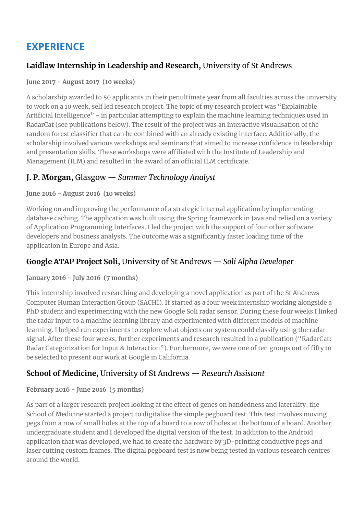# **EXPERIENCE**

# **Laidlaw Internship in Leadership and Research,** University of St Andrews

#### **June 2017 - August 2017 (10 weeks)**

A scholarship awarded to 50 applicants in their penultimate year from all faculties across the university to work on a 10 week, self led research project. The topic of my research project was "Explainable Artificial Intelligence" - in particular attempting to explain the machine learning techniques used in RadarCat (see publications below). The result of the project was an interactive visualisation of the random forest classifier that can be combined with an already existing interface. Additionally, the scholarship involved various workshops and seminars that aimed to increase confidence in leadership and presentation skills. These workshops were affiliated with the Institute of Leadership and Management (ILM) and resulted in the award of an official ILM certificate.

# **J. P. Morgan,** Glasgow — *Summer Technology Analyst*

#### **June 2016 - August 2016 (10 weeks)**

Working on and improving the performance of a strategic internal application by implementing database caching. The application was built using the Spring framework in Java and relied on a variety of Application Programming Interfaces. I led the project with the support of four other software developers and business analysts. The outcome was a significantly faster loading time of the application in Europe and Asia.

# **Google ATAP Project Soli,** University of St Andrews — *Soli Alpha Developer*

#### **January 2016 - July 2016 (7 months)**

This internship involved researching and developing a novel application as part of the St Andrews Computer Human Interaction Group (SACHI). It started as a four week internship working alongside a PhD student and experimenting with the new Google Soli radar sensor. During these four weeks I linked the radar input to a machine learning library and experimented with different models of machine learning. I helped run experiments to explore what objects our system could classify using the radar signal. After these four weeks, further experiments and research resulted in a publication ("RadarCat: Radar Categorization for Input & Interaction"). Furthermore, we were one of ten groups out of fifty to be selected to present our work at Google in California.

# **School of Medicine,** University of St Andrews — *Research Assistant*

#### **February 2016 - June 2016 (5 months)**

As part of a larger research project looking at the effect of genes on handedness and laterality, the School of Medicine started a project to digitalise the simple pegboard test. This test involves moving pegs from a row of small holes at the top of a board to a row of holes at the bottom of a board. Another undergraduate student and I developed the digital version of the test. In addition to the Android application that was developed, we had to create the hardware by 3D-printing conductive pegs and laser cutting custom frames. The digital pegboard test is now being tested in various research centres around the world.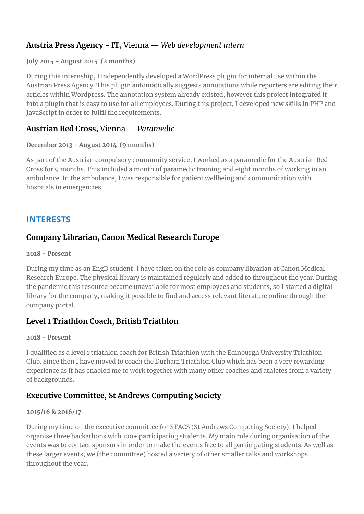# **Austria Press Agency - IT,** Vienna — *Web development intern*

#### **July 2015 - August 2015 (2 months)**

During this internship, I independently developed a WordPress plugin for internal use within the Austrian Press Agency. This plugin automatically suggests annotations while reporters are editing their articles within Wordpress. The annotation system already existed, however this project integrated it into a plugin that is easy to use for all employees. During this project, I developed new skills in PHP and JavaScript in order to fulfil the requirements.

#### **Austrian Red Cross,** Vienna — *Paramedic*

#### **December 2013 - August 2014 (9 months)**

As part of the Austrian compulsory community service, I worked as a paramedic for the Austrian Red Cross for 9 months. This included a month of paramedic training and eight months of working in an ambulance. In the ambulance, I was responsible for patient wellbeing and communication with hospitals in emergencies.

# **INTERESTS**

# **Company Librarian, Canon Medical Research Europe**

#### **2018 - Present**

During my time as an EngD student, I have taken on the role as company librarian at Canon Medical Research Europe. The physical library is maintained regularly and added to throughout the year. During the pandemic this resource became unavailable for most employees and students, so I started a digital library for the company, making it possible to find and access relevant literature online through the company portal.

# **Level 1 Triathlon Coach, British Triathlon**

#### **2018 - Present**

I qualified as a level 1 triathlon coach for British Triathlon with the Edinburgh University Triathlon Club. Since then I have moved to coach the Durham Triathlon Club which has been a very rewarding experience as it has enabled me to work together with many other coaches and athletes from a variety of backgrounds.

# **Executive Committee, St Andrews Computing Society**

#### **2015/16 & 2016/17**

During my time on the executive committee for STACS (St Andrews Computing Society), I helped organise three hackathons with 100+ participating students. My main role during organisation of the events was to contact sponsors in order to make the events free to all participating students. As well as these larger events, we (the committee) hosted a variety of other smaller talks and workshops throughout the year.